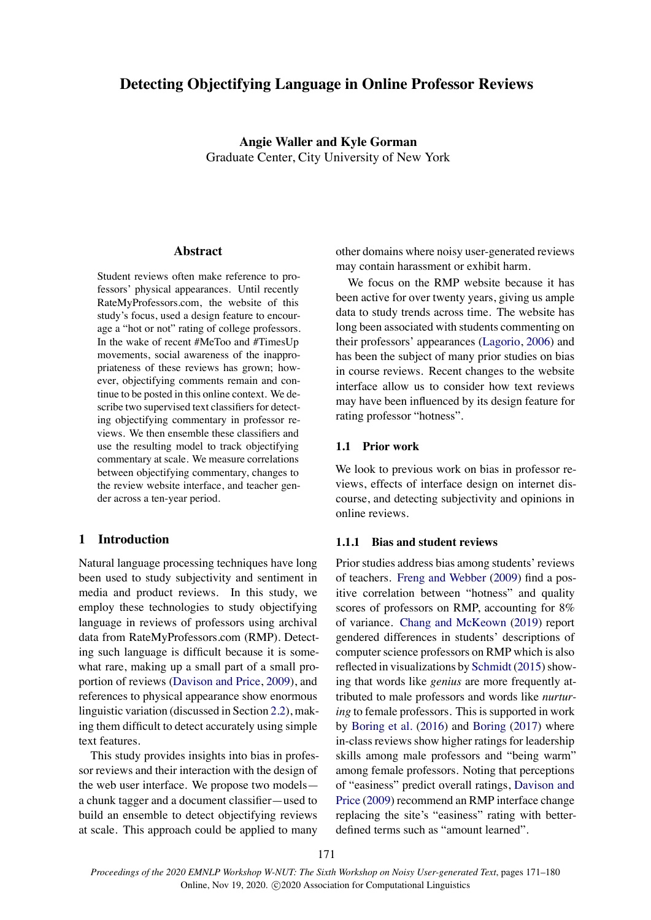# **Detecting Objectifying Language in Online Professor Reviews**

**Angie Waller and Kyle Gorman** Graduate Center, City University of New York

### **Abstract**

Student reviews often make reference to professors' physical appearances. Until recently RateMyProfessors.com, the website of this study's focus, used a design feature to encourage a "hot or not" rating of college professors. In the wake of recent #MeToo and #TimesUp movements, social awareness of the inappropriateness of these reviews has grown; however, objectifying comments remain and continue to be posted in this online context. We describe two supervised text classifiers for detecting objectifying commentary in professor reviews. We then ensemble these classifiers and use the resulting model to track objectifying commentary at scale. We measure correlations between objectifying commentary, changes to the review website interface, and teacher gender across a ten-year period.

#### **1 Introduction**

Natural language processing techniques have long been used to study subjectivity and sentiment in media and product reviews. In this study, we employ these technologies to study objectifying language in reviews of professors using archival data from RateMyProfessors.com (RMP). Detecting such language is difficult because it is somewhat rare, making up a small part of a small proportion of reviews [\(Davison and Price](#page-8-0), [2009](#page-8-0)), and references to physical appearance show enormous linguistic variation (discussed in Section [2.2](#page-2-0)), making them difficult to detect accurately using simple text features.

This study provides insights into bias in professor reviews and their interaction with the design of the web user interface. We propose two models a chunk tagger and a document classifier—used to build an ensemble to detect objectifying reviews at scale. This approach could be applied to many

other domains where noisy user-generated reviews may contain harassment or exhibit harm.

We focus on the RMP website because it has been active for over twenty years, giving us ample data to study trends across time. The website has long been associated with students commenting on their professors' appearances [\(Lagorio,](#page-9-0) [2006](#page-9-0)) and has been the subject of many prior studies on bias in course reviews. Recent changes to the website interface allow us to consider how text reviews may have been influenced by its design feature for rating professor "hotness".

#### **1.1 Prior work**

We look to previous work on bias in professor reviews, effects of interface design on internet discourse, and detecting subjectivity and opinions in online reviews.

#### **1.1.1 Bias and student reviews**

Prior studies address bias among students' reviews of teachers. [Freng and Webber](#page-8-1) ([2009](#page-8-1)) find a positive correlation between "hotness" and quality scores of professors on RMP, accounting for 8% of variance. [Chang and McKeown](#page-8-2) [\(2019](#page-8-2)) report gendered differences in students' descriptions of computer science professors on RMP which is also reflected in visualizations by [Schmidt](#page-9-1) [\(2015](#page-9-1)) showing that words like *genius* are more frequently attributed to male professors and words like *nurturing* to female professors. This is supported in work by [Boring et al.](#page-8-3) [\(2016](#page-8-3)) and [Boring](#page-8-4) ([2017\)](#page-8-4) where in-class reviews show higher ratings for leadership skills among male professors and "being warm" among female professors. Noting that perceptions of "easiness" predict overall ratings, [Davison and](#page-8-0) [Price](#page-8-0) [\(2009](#page-8-0)) recommend an RMP interface change replacing the site's "easiness" rating with betterdefined terms such as "amount learned".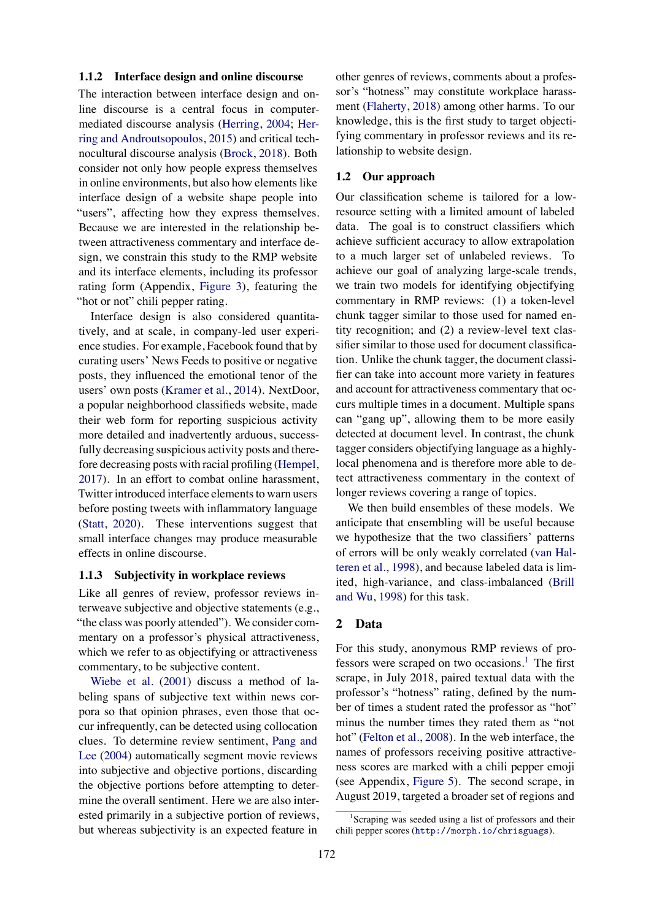#### **1.1.2 Interface design and online discourse**

The interaction between interface design and online discourse is a central focus in computermediated discourse analysis [\(Herring](#page-9-2), [2004;](#page-9-2) [Her](#page-9-3)[ring and Androutsopoulos,](#page-9-3) [2015\)](#page-9-3) and critical technocultural discourse analysis([Brock](#page-8-5), [2018\)](#page-8-5). Both consider not only how people express themselves in online environments, but also how elements like interface design of a website shape people into "users", affecting how they express themselves. Because we are interested in the relationship between attractiveness commentary and interface design, we constrain this study to the RMP website and its interface elements, including its professor rating form (Appendix, [Figure 3](#page--1-0)), featuring the "hot or not" chili pepper rating.

Interface design is also considered quantitatively, and at scale, in company-led user experience studies. For example, Facebook found that by curating users' News Feeds to positive or negative posts, they influenced the emotional tenor of the users' own posts [\(Kramer et al.](#page-9-4), [2014\)](#page-9-4). NextDoor, a popular neighborhood classifieds website, made their web form for reporting suspicious activity more detailed and inadvertently arduous, successfully decreasing suspicious activity posts and therefore decreasing posts with racial profiling [\(Hempel,](#page-9-5) [2017\)](#page-9-5). In an effort to combat online harassment, Twitter introduced interface elements to warn users before posting tweets with inflammatory language [\(Statt](#page-9-6), [2020](#page-9-6)). These interventions suggest that small interface changes may produce measurable effects in online discourse.

#### **1.1.3 Subjectivity in workplace reviews**

Like all genres of review, professor reviews interweave subjective and objective statements (e.g., "the class was poorly attended"). We consider commentary on a professor's physical attractiveness, which we refer to as objectifying or attractiveness commentary, to be subjective content.

[Wiebe et al.](#page-9-7) ([2001](#page-9-7)) discuss a method of labeling spans of subjective text within news corpora so that opinion phrases, even those that occur infrequently, can be detected using collocation clues. To determine review sentiment, [Pang and](#page-9-8) [Lee](#page-9-8) [\(2004\)](#page-9-8) automatically segment movie reviews into subjective and objective portions, discarding the objective portions before attempting to determine the overall sentiment. Here we are also interested primarily in a subjective portion of reviews, but whereas subjectivity is an expected feature in

other genres of reviews, comments about a professor's "hotness" may constitute workplace harassment([Flaherty,](#page-8-6) [2018](#page-8-6)) among other harms. To our knowledge, this is the first study to target objectifying commentary in professor reviews and its relationship to website design.

#### **1.2 Our approach**

Our classification scheme is tailored for a lowresource setting with a limited amount of labeled data. The goal is to construct classifiers which achieve sufficient accuracy to allow extrapolation to a much larger set of unlabeled reviews. To achieve our goal of analyzing large-scale trends, we train two models for identifying objectifying commentary in RMP reviews: (1) a token-level chunk tagger similar to those used for named entity recognition; and (2) a review-level text classifier similar to those used for document classification. Unlike the chunk tagger, the document classifier can take into account more variety in features and account for attractiveness commentary that occurs multiple times in a document. Multiple spans can "gang up", allowing them to be more easily detected at document level. In contrast, the chunk tagger considers objectifying language as a highlylocal phenomena and is therefore more able to detect attractiveness commentary in the context of longer reviews covering a range of topics.

We then build ensembles of these models. We anticipate that ensembling will be useful because we hypothesize that the two classifiers' patterns of errors will be only weakly correlated [\(van Hal](#page-9-9)[teren et al.,](#page-9-9) [1998\)](#page-9-9), and because labeled data is limited, high-variance, and class-imbalanced([Brill](#page-8-7) [and Wu](#page-8-7), [1998](#page-8-7)) for this task.

#### **2 Data**

For this study, anonymous RMP reviews of pro-fessors were scraped on two occasions.<sup>[1](#page-1-0)</sup> The first scrape, in July 2018, paired textual data with the professor's "hotness" rating, defined by the number of times a student rated the professor as "hot" minus the number times they rated them as "not hot" [\(Felton et al.,](#page-8-8) [2008\)](#page-8-8). In the web interface, the names of professors receiving positive attractiveness scores are marked with a chili pepper emoji (see Appendix, [Figure 5](#page--1-1)). The second scrape, in August 2019, targeted a broader set of regions and

<span id="page-1-0"></span><sup>&</sup>lt;sup>1</sup>Scraping was seeded using a list of professors and their chili pepper scores (<http://morph.io/chrisguags>).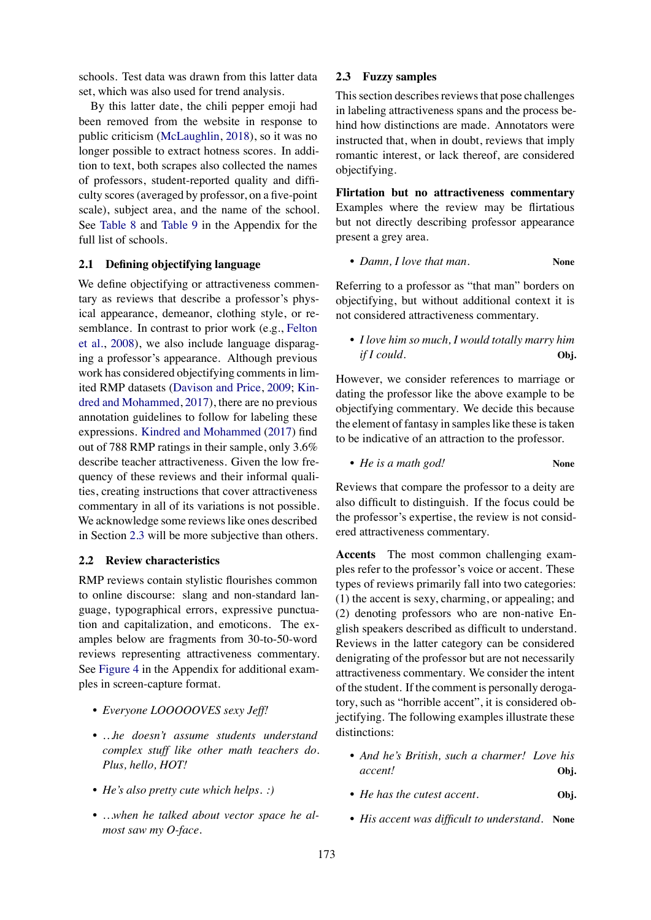schools. Test data was drawn from this latter data set, which was also used for trend analysis.

By this latter date, the chili pepper emoji had been removed from the website in response to public criticism([McLaughlin,](#page-9-10) [2018](#page-9-10)), so it was no longer possible to extract hotness scores. In addition to text, both scrapes also collected the names of professors, student-reported quality and difficulty scores (averaged by professor, on a five-point scale), subject area, and the name of the school. See [Table 8](#page--1-2) and [Table 9](#page--1-3) in the Appendix for the full list of schools.

## **2.1 Defining objectifying language**

We define objectifying or attractiveness commentary as reviews that describe a professor's physical appearance, demeanor, clothing style, or resemblance. In contrast to prior work (e.g., [Felton](#page-8-8) [et al.](#page-8-8), [2008](#page-8-8)), we also include language disparaging a professor's appearance. Although previous work has considered objectifying comments in limited RMP datasets [\(Davison and Price,](#page-8-0) [2009](#page-8-0); [Kin](#page-9-11)[dred and Mohammed](#page-9-11), [2017](#page-9-11)), there are no previous annotation guidelines to follow for labeling these expressions. [Kindred and Mohammed](#page-9-11) [\(2017\)](#page-9-11) find out of 788 RMP ratings in their sample, only 3.6% describe teacher attractiveness. Given the low frequency of these reviews and their informal qualities, creating instructions that cover attractiveness commentary in all of its variations is not possible. We acknowledge some reviews like ones described in Section [2.3](#page-2-1) will be more subjective than others.

#### <span id="page-2-0"></span>**2.2 Review characteristics**

RMP reviews contain stylistic flourishes common to online discourse: slang and non-standard language, typographical errors, expressive punctuation and capitalization, and emoticons. The examples below are fragments from 30-to-50-word reviews representing attractiveness commentary. See [Figure 4](#page--1-4) in the Appendix for additional examples in screen-capture format.

- *Everyone LOOOOOVES sexy Jeff!*
- *…he doesn't assume students understand complex stuff like other math teachers do. Plus, hello, HOT!*
- *He's also pretty cute which helps. :)*
- *…when he talked about vector space he almost saw my O-face.*

### <span id="page-2-1"></span>**2.3 Fuzzy samples**

This section describes reviews that pose challenges in labeling attractiveness spans and the process behind how distinctions are made. Annotators were instructed that, when in doubt, reviews that imply romantic interest, or lack thereof, are considered objectifying.

**Flirtation but no attractiveness commentary** Examples where the review may be flirtatious but not directly describing professor appearance present a grey area.

• *Damn, I love that man.* **None**

Referring to a professor as "that man" borders on objectifying, but without additional context it is not considered attractiveness commentary.

• *I love him so much, I would totally marry him if I could.* Obj.

However, we consider references to marriage or dating the professor like the above example to be objectifying commentary. We decide this because the element of fantasy in samples like these is taken to be indicative of an attraction to the professor.

• *He is a math god!* **None**

Reviews that compare the professor to a deity are also difficult to distinguish. If the focus could be the professor's expertise, the review is not considered attractiveness commentary.

**Accents** The most common challenging examples refer to the professor's voice or accent. These types of reviews primarily fall into two categories: (1) the accent is sexy, charming, or appealing; and (2) denoting professors who are non-native English speakers described as difficult to understand. Reviews in the latter category can be considered denigrating of the professor but are not necessarily attractiveness commentary. We consider the intent of the student. If the comment is personally derogatory, such as "horrible accent", it is considered objectifying. The following examples illustrate these distinctions:

- *And he's British, such a charmer! Love his accent!* **Obj.**
- *He has the cutest accent.* **Obj.**
- *His accent was difficult to understand.* **None**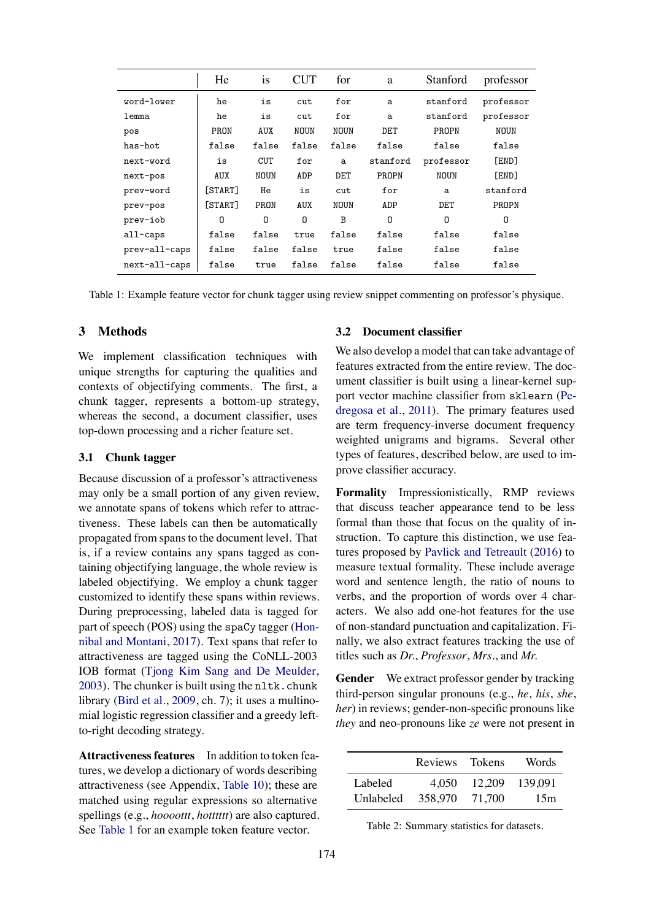<span id="page-3-0"></span>

|               | He         | <b>1S</b>   | <b>CUT</b>  | for         | a        | Stanford    | professor    |
|---------------|------------|-------------|-------------|-------------|----------|-------------|--------------|
| word-lower    | he         | is          | cut         | for         | a        | stanford    | professor    |
| lemma         | he         | is          | cut         | for         | a        | stanford    | professor    |
| pos           | PRON       | <b>AUX</b>  | <b>NOUN</b> | <b>NOUN</b> | DET      | PROPN       | <b>NOUN</b>  |
| has-hot       | false      | false       | false       | false       | false    | false       | false        |
| next-word     | is         | <b>CUT</b>  | for         | a           | stanford | professor   | <b>FENDT</b> |
| next-pos      | <b>AUX</b> | <b>NOUN</b> | ADP         | DET         | PROPN    | <b>NOUN</b> | <b>FEND1</b> |
| prev-word     | [START]    | He          | is          | cut         | for      | a           | stanford     |
| prev-pos      | [START]    | PRON        | <b>AUX</b>  | <b>NOUN</b> | ADP      | DET         | PROPN        |
| prev-iob      | 0          | 0           | 0           | B           | 0        | 0           | 0            |
| all-caps      | false      | false       | true        | false       | false    | false       | false        |
| prev-all-caps | false      | false       | false       | true        | false    | false       | false        |
| next-all-caps | false      | true        | false       | false       | false    | false       | false        |

Table 1: Example feature vector for chunk tagger using review snippet commenting on professor's physique.

## **3 Methods**

We implement classification techniques with unique strengths for capturing the qualities and contexts of objectifying comments. The first, a chunk tagger, represents a bottom-up strategy, whereas the second, a document classifier, uses top-down processing and a richer feature set.

#### **3.1 Chunk tagger**

Because discussion of a professor's attractiveness may only be a small portion of any given review, we annotate spans of tokens which refer to attractiveness. These labels can then be automatically propagated from spans to the document level. That is, if a review contains any spans tagged as containing objectifying language, the whole review is labeled objectifying. We employ a chunk tagger customized to identify these spans within reviews. During preprocessing, labeled data is tagged for part of speech (POS) using the spaCy tagger([Hon](#page-9-12)[nibal and Montani](#page-9-12), [2017\)](#page-9-12). Text spans that refer to attractiveness are tagged using the CoNLL-2003 IOB format([Tjong Kim Sang and De Meulder,](#page-9-13)  $2003$ ). The chunker is built using the nltk.chunk library([Bird et al.](#page-8-9), [2009,](#page-8-9) ch. 7); it uses a multinomial logistic regression classifier and a greedy leftto-right decoding strategy.

**Attractiveness features** In addition to token features, we develop a dictionary of words describing attractiveness (see Appendix, [Table 10\)](#page--1-5); these are matched using regular expressions so alternative spellings (e.g., *hoooottt*, *hotttttt*) are also captured. See [Table 1](#page-3-0) for an example token feature vector.

## **3.2 Document classifier**

We also develop a model that can take advantage of features extracted from the entire review. The document classifier is built using a linear-kernel support vector machine classifier from sklearn ([Pe](#page-9-14)[dregosa et al.](#page-9-14), [2011](#page-9-14)). The primary features used are term frequency-inverse document frequency weighted unigrams and bigrams. Several other types of features, described below, are used to improve classifier accuracy.

**Formality** Impressionistically, RMP reviews that discuss teacher appearance tend to be less formal than those that focus on the quality of instruction. To capture this distinction, we use features proposed by [Pavlick and Tetreault](#page-9-15) ([2016](#page-9-15)) to measure textual formality. These include average word and sentence length, the ratio of nouns to verbs, and the proportion of words over 4 characters. We also add one-hot features for the use of non-standard punctuation and capitalization. Finally, we also extract features tracking the use of titles such as *Dr.*, *Professor*, *Mrs.*, and *Mr.*

**Gender** We extract professor gender by tracking third-person singular pronouns (e.g., *he*, *his*, *she*, *her*) in reviews; gender-non-specific pronouns like *they* and neo-pronouns like *ze* were not present in

<span id="page-3-1"></span>

|           | Reviews Tokens |        | Words   |
|-----------|----------------|--------|---------|
| Labeled   | 4.050          | 12,209 | 139.091 |
| Unlabeled | 358,970        | 71.700 | 15m     |

Table 2: Summary statistics for datasets.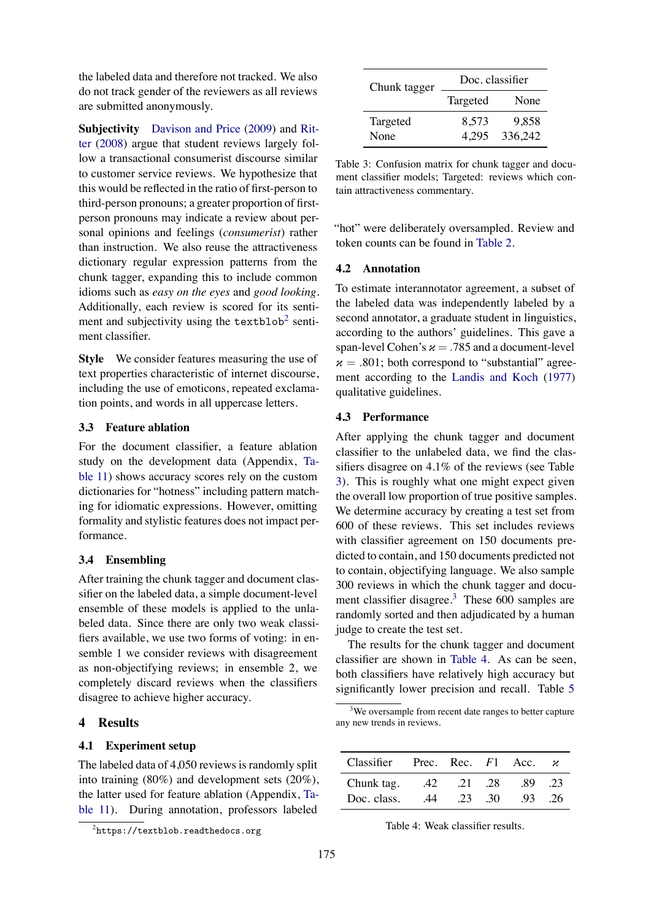the labeled data and therefore not tracked. We also do not track gender of the reviewers as all reviews are submitted anonymously.

**Subjectivity** [Davison and Price](#page-8-0) [\(2009\)](#page-8-0) and [Rit](#page-9-16)[ter](#page-9-16) [\(2008\)](#page-9-16) argue that student reviews largely follow a transactional consumerist discourse similar to customer service reviews. We hypothesize that this would be reflected in the ratio of first-person to third-person pronouns; a greater proportion of firstperson pronouns may indicate a review about personal opinions and feelings (*consumerist*) rather than instruction. We also reuse the attractiveness dictionary regular expression patterns from the chunk tagger, expanding this to include common idioms such as *easy on the eyes* and *good looking*. Additionally, each review is scored for its sentiment and subjectivity using the  $textblockboxbox{t}$  sentiment classifier.

**Style** We consider features measuring the use of text properties characteristic of internet discourse, including the use of emoticons, repeated exclamation points, and words in all uppercase letters.

#### **3.3 Feature ablation**

For the document classifier, a feature ablation study on the development data (Appendix, [Ta](#page--1-6)[ble 11\)](#page--1-6) shows accuracy scores rely on the custom dictionaries for "hotness" including pattern matching for idiomatic expressions. However, omitting formality and stylistic features does not impact performance.

## **3.4 Ensembling**

After training the chunk tagger and document classifier on the labeled data, a simple document-level ensemble of these models is applied to the unlabeled data. Since there are only two weak classifiers available, we use two forms of voting: in ensemble 1 we consider reviews with disagreement as non-objectifying reviews; in ensemble 2, we completely discard reviews when the classifiers disagree to achieve higher accuracy.

## **4 Results**

#### **4.1 Experiment setup**

The labeled data of 4,050 reviews is randomly split into training (80%) and development sets (20%), the latter used for feature ablation (Appendix, [Ta](#page--1-6)[ble 11\)](#page--1-6). During annotation, professors labeled

<span id="page-4-1"></span>

| Chunk tagger | Doc. classifier |         |  |  |
|--------------|-----------------|---------|--|--|
|              | Targeted        | None    |  |  |
| Targeted     | 8,573           | 9.858   |  |  |
| None         | 4.295           | 336,242 |  |  |

Table 3: Confusion matrix for chunk tagger and document classifier models; Targeted: reviews which contain attractiveness commentary.

"hot" were deliberately oversampled. Review and token counts can be found in [Table 2.](#page-3-1)

#### **4.2 Annotation**

To estimate interannotator agreement, a subset of the labeled data was independently labeled by a second annotator, a graduate student in linguistics, according to the authors' guidelines. This gave a span-level Cohen's  $x = .785$  and a document-level  $x = .801$ ; both correspond to "substantial" agreement according to the [Landis and Koch](#page-9-17) ([1977\)](#page-9-17) qualitative guidelines.

#### **4.3 Performance**

After applying the chunk tagger and document classifier to the unlabeled data, we find the classifiers disagree on 4.1% of the reviews (see Table [3\)](#page-4-1). This is roughly what one might expect given the overall low proportion of true positive samples. We determine accuracy by creating a test set from 600 of these reviews. This set includes reviews with classifier agreement on 150 documents predicted to contain, and 150 documents predicted not to contain, objectifying language. We also sample 300 reviews in which the chunk tagger and docu-ment classifier disagree.<sup>[3](#page-4-2)</sup> These  $600$  samples are randomly sorted and then adjudicated by a human judge to create the test set.

The results for the chunk tagger and document classifier are shown in [Table 4](#page-4-3). As can be seen, both classifiers have relatively high accuracy but significantly lower precision and recall. Table [5](#page-5-0)

<span id="page-4-2"></span> $3$ We oversample from recent date ranges to better capture any new trends in reviews.

<span id="page-4-3"></span>

| Classifier Prec. Rec. $F1$ Acc. $\alpha$ |    |          |      |     |     |
|------------------------------------------|----|----------|------|-----|-----|
| Chunk tag.                               |    | 42 21 28 |      | -89 | .23 |
| Doc. class.                              | 44 | .23      | - 30 | -93 | -26 |

Table 4: Weak classifier results.

<span id="page-4-0"></span> $^2$ https://textblob.readthedocs.org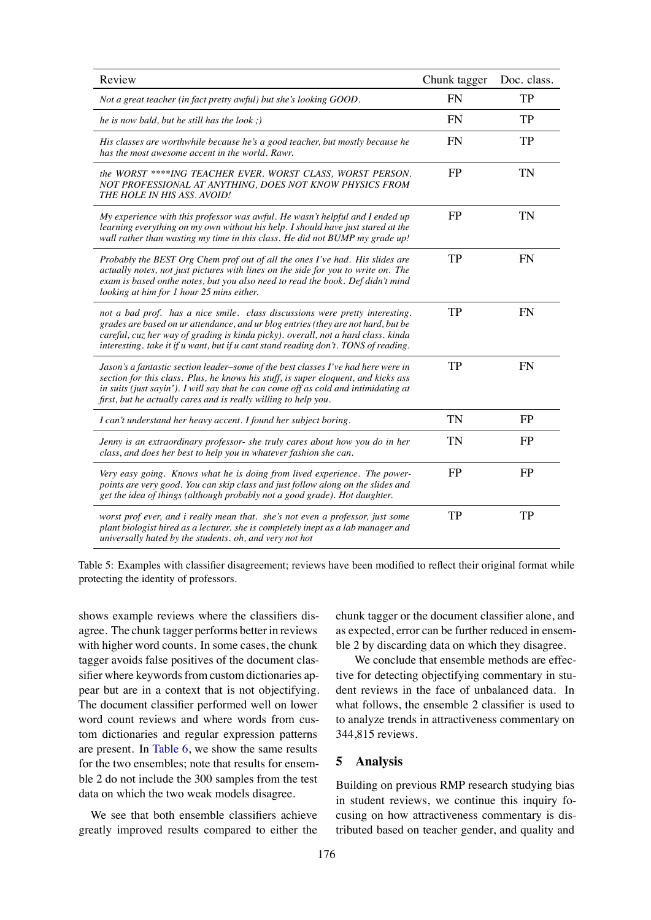<span id="page-5-0"></span>

| Review                                                                                                                                                                                                                                                                                                                                        | Chunk tagger | Doc. class. |
|-----------------------------------------------------------------------------------------------------------------------------------------------------------------------------------------------------------------------------------------------------------------------------------------------------------------------------------------------|--------------|-------------|
| Not a great teacher (in fact pretty awful) but she's looking GOOD.                                                                                                                                                                                                                                                                            | <b>FN</b>    | <b>TP</b>   |
| he is now bald, but he still has the look;)                                                                                                                                                                                                                                                                                                   | <b>FN</b>    | <b>TP</b>   |
| His classes are worthwhile because he's a good teacher, but mostly because he<br>has the most awesome accent in the world. Rawr.                                                                                                                                                                                                              | <b>FN</b>    | <b>TP</b>   |
| the WORST ****ING TEACHER EVER. WORST CLASS, WORST PERSON.<br>NOT PROFESSIONAL AT ANYTHING, DOES NOT KNOW PHYSICS FROM<br>THE HOLE IN HIS ASS. AVOID!                                                                                                                                                                                         | <b>FP</b>    | <b>TN</b>   |
| My experience with this professor was awful. He wasn't helpful and I ended up<br>learning everything on my own without his help. I should have just stared at the<br>wall rather than wasting my time in this class. He did not BUMP my grade up!                                                                                             | FP           | <b>TN</b>   |
| Probably the BEST Org Chem prof out of all the ones I've had. His slides are<br>actually notes, not just pictures with lines on the side for you to write on. The<br>exam is based onthe notes, but you also need to read the book. Def didn't mind<br>looking at him for 1 hour 25 mins either.                                              | <b>TP</b>    | <b>FN</b>   |
| not a bad prof. has a nice smile. class discussions were pretty interesting.<br>grades are based on ur attendance, and ur blog entries (they are not hard, but be<br>careful, cuz her way of grading is kinda picky). overall, not a hard class. kinda<br>interesting. take it if u want, but if u cant stand reading don't. TONS of reading. | <b>TP</b>    | <b>FN</b>   |
| Jason's a fantastic section leader–some of the best classes I've had here were in<br>section for this class. Plus, he knows his stuff, is super eloquent, and kicks ass<br>in suits (just sayin'). I will say that he can come off as cold and intimidating at<br>first, but he actually cares and is really willing to help you.             | <b>TP</b>    | <b>FN</b>   |
| I can't understand her heavy accent. I found her subject boring.                                                                                                                                                                                                                                                                              | <b>TN</b>    | FP          |
| Jenny is an extraordinary professor- she truly cares about how you do in her<br>class, and does her best to help you in whatever fashion she can.                                                                                                                                                                                             | TN           | FP          |
| Very easy going. Knows what he is doing from lived experience. The power-<br>points are very good. You can skip class and just follow along on the slides and<br>get the idea of things (although probably not a good grade). Hot daughter.                                                                                                   | <b>FP</b>    | <b>FP</b>   |
| worst prof ever, and i really mean that. she's not even a professor, just some<br>plant biologist hired as a lecturer. she is completely inept as a lab manager and<br>universally hated by the students. oh, and very not hot                                                                                                                | <b>TP</b>    | <b>TP</b>   |

Table 5: Examples with classifier disagreement; reviews have been modified to reflect their original format while protecting the identity of professors.

shows example reviews where the classifiers disagree. The chunk tagger performs better in reviews with higher word counts. In some cases, the chunk tagger avoids false positives of the document classifier where keywords from custom dictionaries appear but are in a context that is not objectifying. The document classifier performed well on lower word count reviews and where words from custom dictionaries and regular expression patterns are present. In [Table 6](#page-6-0), we show the same results for the two ensembles; note that results for ensemble 2 do not include the 300 samples from the test data on which the two weak models disagree.

We see that both ensemble classifiers achieve greatly improved results compared to either the chunk tagger or the document classifier alone, and as expected, error can be further reduced in ensemble 2 by discarding data on which they disagree.

We conclude that ensemble methods are effective for detecting objectifying commentary in student reviews in the face of unbalanced data. In what follows, the ensemble 2 classifier is used to to analyze trends in attractiveness commentary on 344,815 reviews.

### **5 Analysis**

Building on previous RMP research studying bias in student reviews, we continue this inquiry focusing on how attractiveness commentary is distributed based on teacher gender, and quality and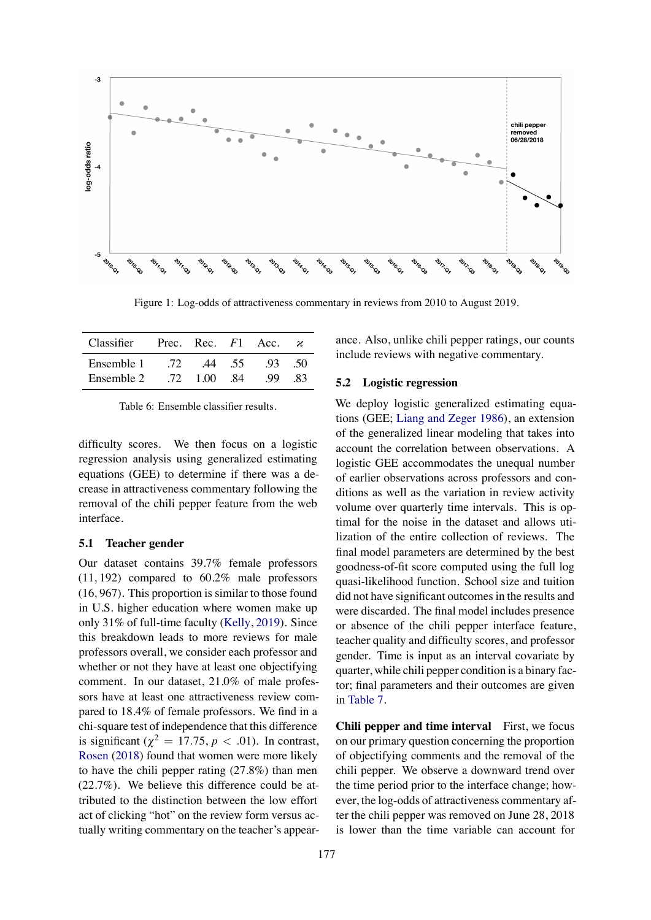

Figure 1: Log-odds of attractiveness commentary in reviews from 2010 to August 2019.

<span id="page-6-0"></span>

| Classifier | Prec. Rec. $F1$ Acc. |      |        |      |     |
|------------|----------------------|------|--------|------|-----|
| Ensemble 1 | -72.                 |      | .44 55 | -93. | -50 |
| Ensemble 2 | -72 F                | 1 QO | -84    | -99  | -83 |

Table 6: Ensemble classifier results.

difficulty scores. We then focus on a logistic regression analysis using generalized estimating equations (GEE) to determine if there was a decrease in attractiveness commentary following the removal of the chili pepper feature from the web interface.

### **5.1 Teacher gender**

Our dataset contains 39.7% female professors (11*,* 192) compared to 60.2% male professors (16*,* 967). This proportion is similar to those found in U.S. higher education where women make up only 31% of full-time faculty([Kelly](#page-9-18), [2019](#page-9-18)). Since this breakdown leads to more reviews for male professors overall, we consider each professor and whether or not they have at least one objectifying comment. In our dataset, 21.0% of male professors have at least one attractiveness review compared to 18.4% of female professors. We find in a chi-square test of independence that this difference is significant ( $\chi^2 = 17.75$ ,  $p < .01$ ). In contrast, [Rosen](#page-9-19) ([2018\)](#page-9-19) found that women were more likely to have the chili pepper rating (27.8%) than men (22.7%). We believe this difference could be attributed to the distinction between the low effort act of clicking "hot" on the review form versus actually writing commentary on the teacher's appearance. Also, unlike chili pepper ratings, our counts include reviews with negative commentary.

#### **5.2 Logistic regression**

We deploy logistic generalized estimating equations (GEE; [Liang and Zeger](#page-9-20) [1986\)](#page-9-20), an extension of the generalized linear modeling that takes into account the correlation between observations. A logistic GEE accommodates the unequal number of earlier observations across professors and conditions as well as the variation in review activity volume over quarterly time intervals. This is optimal for the noise in the dataset and allows utilization of the entire collection of reviews. The final model parameters are determined by the best goodness-of-fit score computed using the full log quasi-likelihood function. School size and tuition did not have significant outcomes in the results and were discarded. The final model includes presence or absence of the chili pepper interface feature, teacher quality and difficulty scores, and professor gender. Time is input as an interval covariate by quarter, while chili pepper condition is a binary factor; final parameters and their outcomes are given in [Table 7.](#page-7-0)

**Chili pepper and time interval** First, we focus on our primary question concerning the proportion of objectifying comments and the removal of the chili pepper. We observe a downward trend over the time period prior to the interface change; however, the log-odds of attractiveness commentary after the chili pepper was removed on June 28, 2018 is lower than the time variable can account for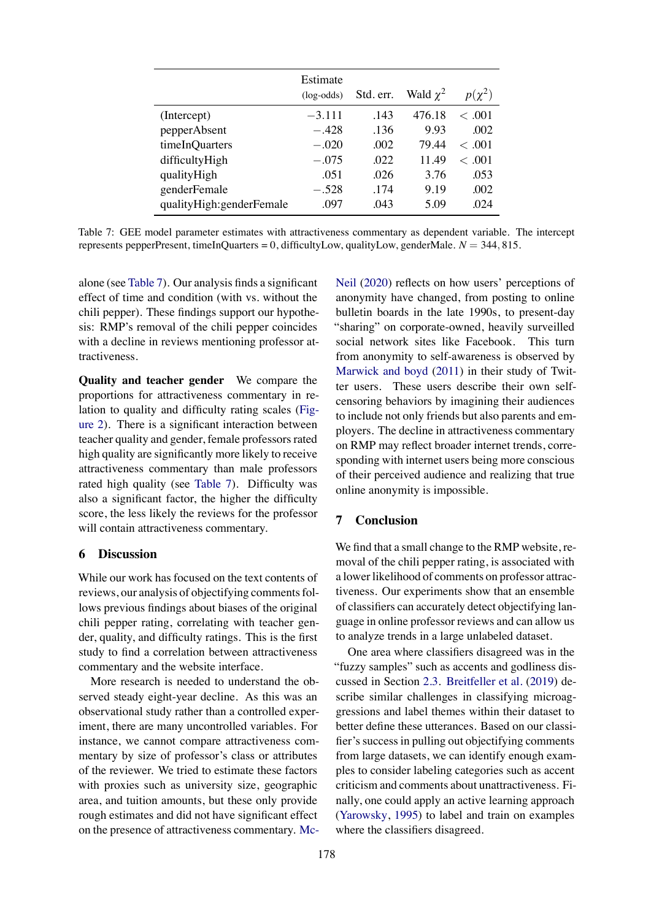<span id="page-7-0"></span>

|                           | Estimate<br>$(log-odds)$ | Std. err. | Wald $\chi^2$ | $p(\chi^2)$     |
|---------------------------|--------------------------|-----------|---------------|-----------------|
| (Intercept)               | $-3.111$                 | .143      | 476.18        | < .001          |
| pepperAbsent              | $-.428$                  | .136      | 9.93          | .002            |
| timeInQuarters            | $-.020$                  | .002      | 79.44         | < 0.01          |
| difficultyHigh            | $-.075$                  | .022      | 11.49         | $\epsilon$ 0.01 |
| qualityHigh               | .051                     | .026      | 3.76          | .053            |
| genderFemale              | $-.528$                  | .174      | 9.19          | .002            |
| qualityHigh: genderFemale | .097                     | .043      | 5.09          | .024            |

Table 7: GEE model parameter estimates with attractiveness commentary as dependent variable. The intercept represents pepperPresent, timeInQuarters = 0, difficultyLow, qualityLow, genderMale. *N* = 344*,* 815.

alone (see [Table 7\)](#page-7-0). Our analysis finds a significant effect of time and condition (with vs. without the chili pepper). These findings support our hypothesis: RMP's removal of the chili pepper coincides with a decline in reviews mentioning professor attractiveness.

**Quality and teacher gender** We compare the proportions for attractiveness commentary in relation to quality and difficulty rating scales([Fig](#page-8-10)[ure 2\)](#page-8-10). There is a significant interaction between teacher quality and gender, female professors rated high quality are significantly more likely to receive attractiveness commentary than male professors rated high quality (see [Table 7\)](#page-7-0). Difficulty was also a significant factor, the higher the difficulty score, the less likely the reviews for the professor will contain attractiveness commentary.

## **6 Discussion**

While our work has focused on the text contents of reviews, our analysis of objectifying comments follows previous findings about biases of the original chili pepper rating, correlating with teacher gender, quality, and difficulty ratings. This is the first study to find a correlation between attractiveness commentary and the website interface.

More research is needed to understand the observed steady eight-year decline. As this was an observational study rather than a controlled experiment, there are many uncontrolled variables. For instance, we cannot compare attractiveness commentary by size of professor's class or attributes of the reviewer. We tried to estimate these factors with proxies such as university size, geographic area, and tuition amounts, but these only provide rough estimates and did not have significant effect on the presence of attractiveness commentary. [Mc-](#page-9-21)

[Neil](#page-9-21) [\(2020\)](#page-9-21) reflects on how users' perceptions of anonymity have changed, from posting to online bulletin boards in the late 1990s, to present-day "sharing" on corporate-owned, heavily surveilled social network sites like Facebook. This turn from anonymity to self-awareness is observed by [Marwick and boyd](#page-9-22) [\(2011](#page-9-22)) in their study of Twitter users. These users describe their own selfcensoring behaviors by imagining their audiences to include not only friends but also parents and employers. The decline in attractiveness commentary on RMP may reflect broader internet trends, corresponding with internet users being more conscious of their perceived audience and realizing that true online anonymity is impossible.

## **7 Conclusion**

We find that a small change to the RMP website, removal of the chili pepper rating, is associated with a lower likelihood of comments on professor attractiveness. Our experiments show that an ensemble of classifiers can accurately detect objectifying language in online professor reviews and can allow us to analyze trends in a large unlabeled dataset.

One area where classifiers disagreed was in the "fuzzy samples" such as accents and godliness discussed in Section [2.3.](#page-2-1) [Breitfeller et al.](#page-8-11) ([2019\)](#page-8-11) describe similar challenges in classifying microaggressions and label themes within their dataset to better define these utterances. Based on our classifier's success in pulling out objectifying comments from large datasets, we can identify enough examples to consider labeling categories such as accent criticism and comments about unattractiveness. Finally, one could apply an active learning approach ([Yarowsky](#page-9-23), [1995](#page-9-23)) to label and train on examples where the classifiers disagreed.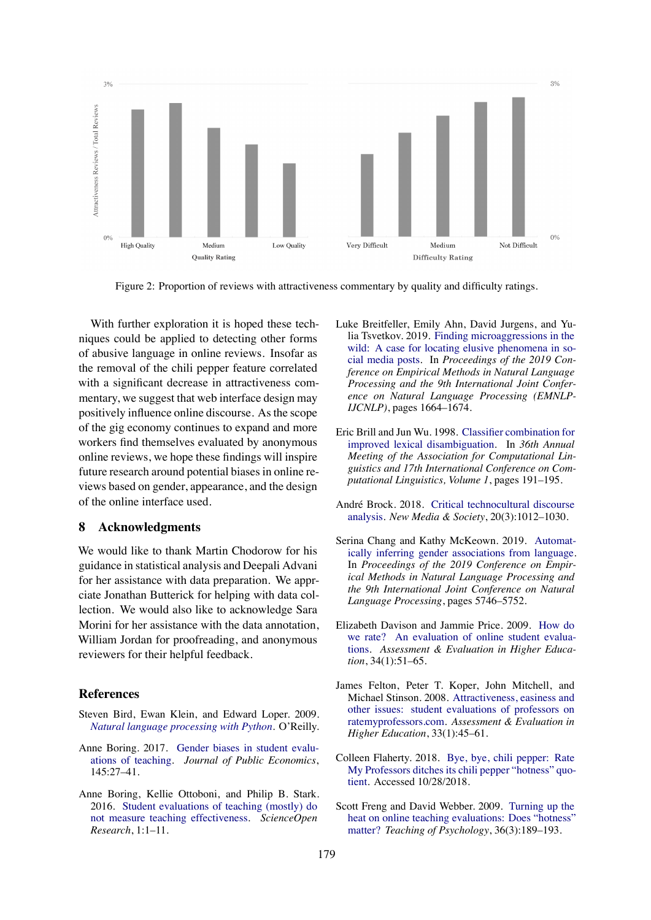<span id="page-8-10"></span>

Figure 2: Proportion of reviews with attractiveness commentary by quality and difficulty ratings.

With further exploration it is hoped these techniques could be applied to detecting other forms of abusive language in online reviews. Insofar as the removal of the chili pepper feature correlated with a significant decrease in attractiveness commentary, we suggest that web interface design may positively influence online discourse. As the scope of the gig economy continues to expand and more workers find themselves evaluated by anonymous online reviews, we hope these findings will inspire future research around potential biases in online reviews based on gender, appearance, and the design of the online interface used.

#### **8 Acknowledgments**

We would like to thank Martin Chodorow for his guidance in statistical analysis and Deepali Advani for her assistance with data preparation. We apprciate Jonathan Butterick for helping with data collection. We would also like to acknowledge Sara Morini for her assistance with the data annotation, William Jordan for proofreading, and anonymous reviewers for their helpful feedback.

#### **References**

- <span id="page-8-9"></span>Steven Bird, Ewan Klein, and Edward Loper. 2009. *[Natural language processing with Python](https://www.nltk.org/)*. O'Reilly.
- <span id="page-8-4"></span>Anne Boring. 2017. [Gender biases in student evalu](http://www.sciencedirect.com/science/article/pii/S0047272716301591)[ations of teaching.](http://www.sciencedirect.com/science/article/pii/S0047272716301591) *Journal of Public Economics*, 145:27–41.
- <span id="page-8-3"></span>Anne Boring, Kellie Ottoboni, and Philip B. Stark. 2016. [Student evaluations of teaching \(mostly\) do](https://www.scienceopen.com/document?vid=818d8ec0-5908-47d8-86b4-5dc38f04b23e) [not measure teaching effectiveness.](https://www.scienceopen.com/document?vid=818d8ec0-5908-47d8-86b4-5dc38f04b23e) *ScienceOpen Research*, 1:1–11.
- <span id="page-8-11"></span>Luke Breitfeller, Emily Ahn, David Jurgens, and Yulia Tsvetkov. 2019. [Finding microaggressions in the](https://www.aclweb.org/anthology/D19-1176) [wild: A case for locating elusive phenomena in so](https://www.aclweb.org/anthology/D19-1176)[cial media posts](https://www.aclweb.org/anthology/D19-1176). In *Proceedings of the 2019 Conference on Empirical Methods in Natural Language Processing and the 9th International Joint Conference on Natural Language Processing (EMNLP-IJCNLP)*, pages 1664–1674.
- <span id="page-8-7"></span>Eric Brill and Jun Wu. 1998. [Classifier combination for](https://www.aclweb.org/anthology/P98-1029) [improved lexical disambiguation](https://www.aclweb.org/anthology/P98-1029). In *36th Annual Meeting of the Association for Computational Linguistics and 17th International Conference on Computational Linguistics, Volume 1*, pages 191–195.
- <span id="page-8-5"></span>André Brock. 2018. [Critical technocultural discourse](https://doi.org/10.1177/1461444816677532) [analysis](https://doi.org/10.1177/1461444816677532). *New Media & Society*, 20(3):1012–1030.
- <span id="page-8-2"></span>Serina Chang and Kathy McKeown. 2019. [Automat](https://www.aclweb.org/anthology/D19-1579)[ically inferring gender associations from language.](https://www.aclweb.org/anthology/D19-1579) In *Proceedings of the 2019 Conference on Empirical Methods in Natural Language Processing and the 9th International Joint Conference on Natural Language Processing*, pages 5746–5752.
- <span id="page-8-0"></span>Elizabeth Davison and Jammie Price. 2009. [How do](https://doi.org/10.1080/02602930801895695) [we rate? An evaluation of online student evalua](https://doi.org/10.1080/02602930801895695)[tions.](https://doi.org/10.1080/02602930801895695) *Assessment & Evaluation in Higher Education*, 34(1):51–65.
- <span id="page-8-8"></span>James Felton, Peter T. Koper, John Mitchell, and Michael Stinson. 2008. [Attractiveness, easiness and](https://doi.org/10.1080/02602930601122803) [other issues: student evaluations of professors on](https://doi.org/10.1080/02602930601122803) [ratemyprofessors.com](https://doi.org/10.1080/02602930601122803). *Assessment & Evaluation in Higher Education*, 33(1):45–61.
- <span id="page-8-6"></span>Colleen Flaherty. 2018. [Bye, bye, chili pepper: Rate](https://www.insidehighered.com/news/2018/07/02/rate-my-professors-ditches-its-chili-pepper-hotness-quotient) [My Professors ditches its chili pepper "hotness" quo](https://www.insidehighered.com/news/2018/07/02/rate-my-professors-ditches-its-chili-pepper-hotness-quotient)[tient.](https://www.insidehighered.com/news/2018/07/02/rate-my-professors-ditches-its-chili-pepper-hotness-quotient) Accessed 10/28/2018.
- <span id="page-8-1"></span>Scott Freng and David Webber. 2009. [Turning up the](https://doi.org/10.1080/00986280902959739) [heat on online teaching evaluations: Does "hotness"](https://doi.org/10.1080/00986280902959739) [matter?](https://doi.org/10.1080/00986280902959739) *Teaching of Psychology*, 36(3):189–193.